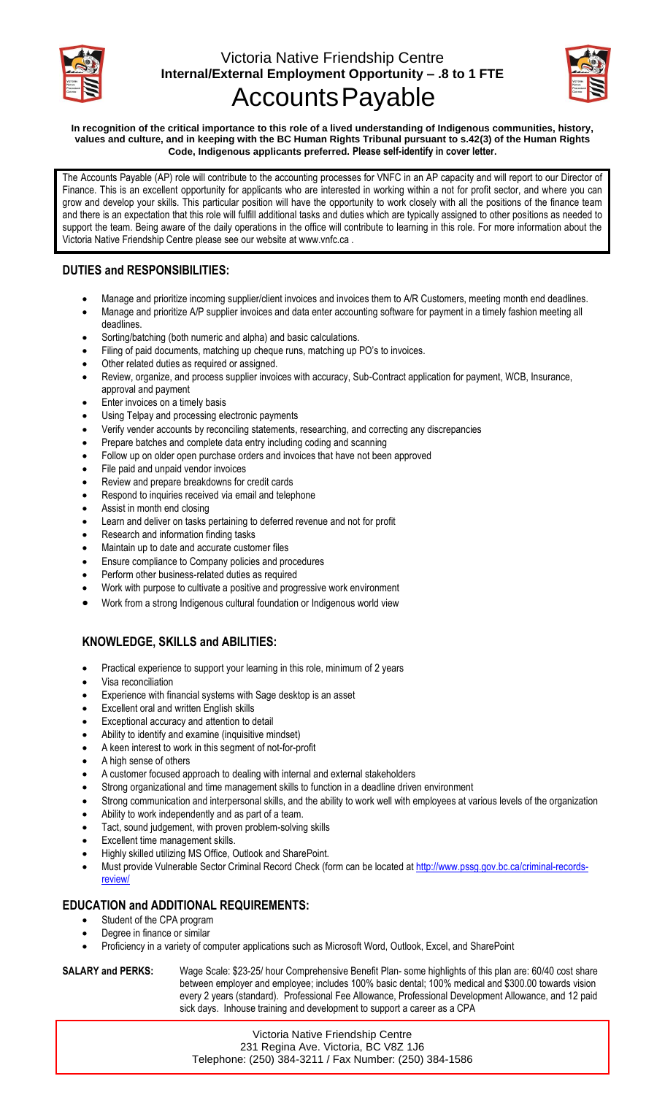

## Victoria Native Friendship Centre **Internal/External Employment Opportunity – .8 to 1 FTE** AccountsPayable



**In recognition of the critical importance to this role of a lived understanding of Indigenous communities, history, values and culture, and in keeping with the BC Human Rights Tribunal pursuant to s.42(3) of the Human Rights Code, Indigenous applicants preferred. Please self-identify in cover letter.**

The Accounts Payable (AP) role will contribute to the accounting processes for VNFC in an AP capacity and will report to our Director of Finance. This is an excellent opportunity for applicants who are interested in working within a not for profit sector, and where you can grow and develop your skills. This particular position will have the opportunity to work closely with all the positions of the finance team and there is an expectation that this role will fulfill additional tasks and duties which are typically assigned to other positions as needed to support the team. Being aware of the daily operations in the office will contribute to learning in this role. For more information about the Victoria Native Friendship Centre please see our website at www.vnfc.ca .

### **DUTIES and RESPONSIBILITIES:**

- Manage and prioritize incoming supplier/client invoices and invoices them to A/R Customers, meeting month end deadlines.
- Manage and prioritize A/P supplier invoices and data enter accounting software for payment in a timely fashion meeting all deadlines.
- Sorting/batching (both numeric and alpha) and basic calculations.
- Filing of paid documents, matching up cheque runs, matching up PO's to invoices.
- Other related duties as required or assigned.
- Review, organize, and process supplier invoices with accuracy, Sub-Contract application for payment, WCB, Insurance, approval and payment
- Enter invoices on a timely basis
- Using Telpay and processing electronic payments
- Verify vender accounts by reconciling statements, researching, and correcting any discrepancies
- Prepare batches and complete data entry including coding and scanning
- Follow up on older open purchase orders and invoices that have not been approved
- File paid and unpaid vendor invoices
- Review and prepare breakdowns for credit cards
- Respond to inquiries received via email and telephone
- Assist in month end closing
- Learn and deliver on tasks pertaining to deferred revenue and not for profit
- Research and information finding tasks
- Maintain up to date and accurate customer files
- Ensure compliance to Company policies and procedures
- Perform other business-related duties as required
- Work with purpose to cultivate a positive and progressive work environment
- Work from a strong Indigenous cultural foundation or Indigenous world view

#### **KNOWLEDGE, SKILLS and ABILITIES:**

- Practical experience to support your learning in this role, minimum of 2 years
- Visa reconciliation
- Experience with financial systems with Sage desktop is an asset
- Excellent oral and written English skills
- Exceptional accuracy and attention to detail
- Ability to identify and examine (inquisitive mindset)
- A keen interest to work in this segment of not-for-profit
- A high sense of others
- A customer focused approach to dealing with internal and external stakeholders
- Strong organizational and time management skills to function in a deadline driven environment
- Strong communication and interpersonal skills, and the ability to work well with employees at various levels of the organization
- Ability to work independently and as part of a team.
- Tact, sound judgement, with proven problem-solving skills
- Excellent time management skills.
- Highly skilled utilizing MS Office, Outlook and SharePoint.
- Must provide Vulnerable Sector Criminal Record Check (form can be located at [http://www.pssg.gov.bc.ca/criminal-records](http://www.pssg.gov.bc.ca/criminal-records-review/)[review/](http://www.pssg.gov.bc.ca/criminal-records-review/)

#### **EDUCATION and ADDITIONAL REQUIREMENTS:**

- Student of the CPA program
- Degree in finance or similar
- Proficiency in a variety of computer applications such as Microsoft Word, Outlook, Excel, and SharePoint

**SALARY and PERKS:** Wage Scale: \$23-25/ hour Comprehensive Benefit Plan- some highlights of this plan are: 60/40 cost share between employer and employee; includes 100% basic dental; 100% medical and \$300.00 towards vision every 2 years (standard). Professional Fee Allowance, Professional Development Allowance, and 12 paid sick days. Inhouse training and development to support a career as a CPA

> Victoria Native Friendship Centre 231 Regina Ave. Victoria, BC V8Z 1J6 Telephone: (250) 384-3211 / Fax Number: (250) 384-1586